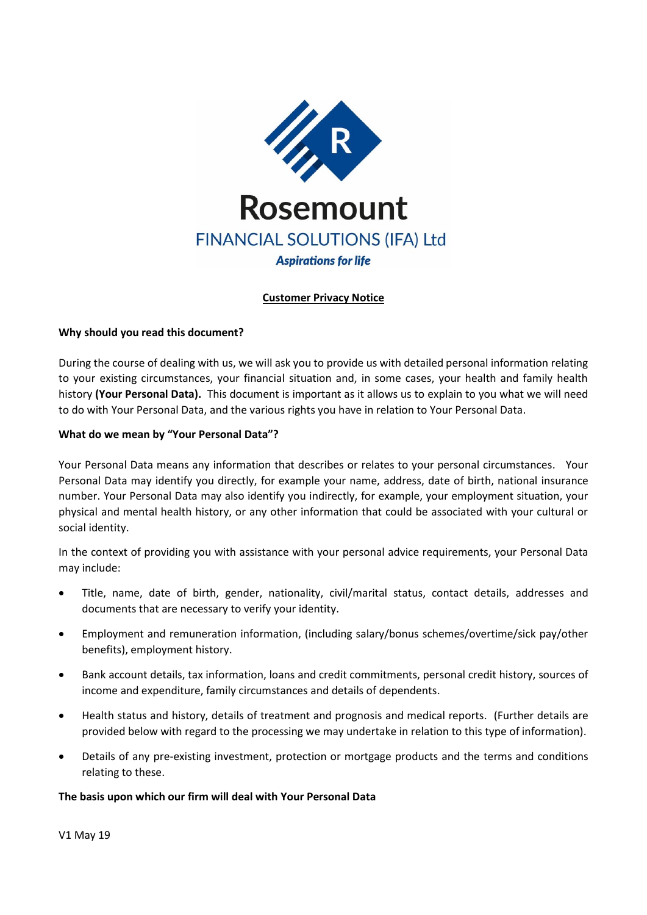

# **Customer Privacy Notice**

## **Why should you read this document?**

During the course of dealing with us, we will ask you to provide us with detailed personal information relating to your existing circumstances, your financial situation and, in some cases, your health and family health history **(Your Personal Data).** This document is important as it allows us to explain to you what we will need to do with Your Personal Data, and the various rights you have in relation to Your Personal Data.

## **What do we mean by "Your Personal Data"?**

Your Personal Data means any information that describes or relates to your personal circumstances. Your Personal Data may identify you directly, for example your name, address, date of birth, national insurance number. Your Personal Data may also identify you indirectly, for example, your employment situation, your physical and mental health history, or any other information that could be associated with your cultural or social identity.

In the context of providing you with assistance with your personal advice requirements, your Personal Data may include:

- Title, name, date of birth, gender, nationality, civil/marital status, contact details, addresses and documents that are necessary to verify your identity.
- Employment and remuneration information, (including salary/bonus schemes/overtime/sick pay/other benefits), employment history.
- Bank account details, tax information, loans and credit commitments, personal credit history, sources of income and expenditure, family circumstances and details of dependents.
- Health status and history, details of treatment and prognosis and medical reports. (Further details are provided below with regard to the processing we may undertake in relation to this type of information).
- Details of any pre-existing investment, protection or mortgage products and the terms and conditions relating to these.

# **The basis upon which our firm will deal with Your Personal Data**

V1 May 19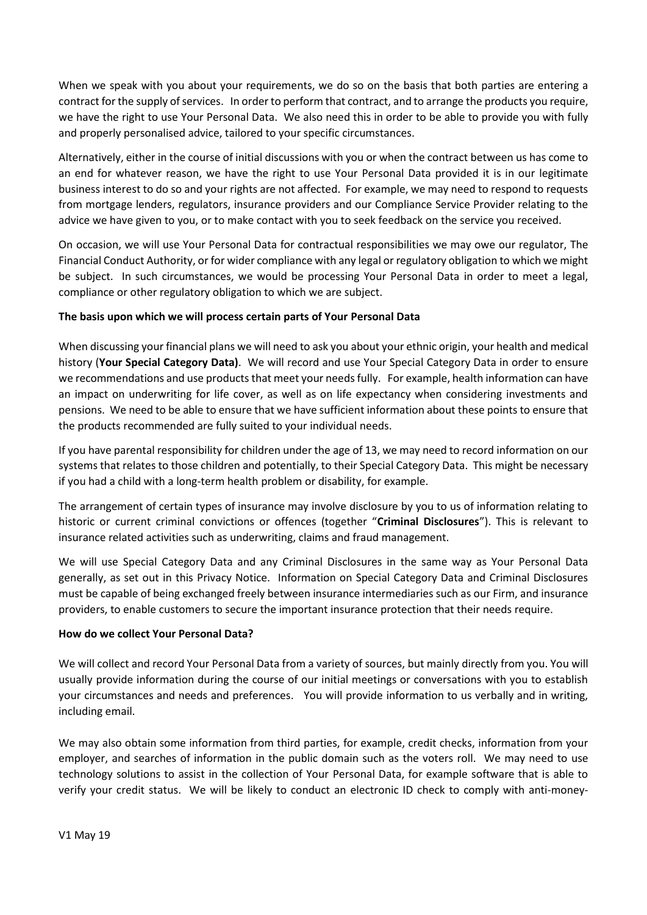When we speak with you about your requirements, we do so on the basis that both parties are entering a contract for the supply of services. In order to perform that contract, and to arrange the products you require, we have the right to use Your Personal Data. We also need this in order to be able to provide you with fully and properly personalised advice, tailored to your specific circumstances.

Alternatively, either in the course of initial discussions with you or when the contract between us has come to an end for whatever reason, we have the right to use Your Personal Data provided it is in our legitimate business interest to do so and your rights are not affected. For example, we may need to respond to requests from mortgage lenders, regulators, insurance providers and our Compliance Service Provider relating to the advice we have given to you, or to make contact with you to seek feedback on the service you received.

On occasion, we will use Your Personal Data for contractual responsibilities we may owe our regulator, The Financial Conduct Authority, or for wider compliance with any legal or regulatory obligation to which we might be subject. In such circumstances, we would be processing Your Personal Data in order to meet a legal, compliance or other regulatory obligation to which we are subject.

# **The basis upon which we will process certain parts of Your Personal Data**

When discussing your financial plans we will need to ask you about your ethnic origin, your health and medical history (**Your Special Category Data)**. We will record and use Your Special Category Data in order to ensure we recommendations and use products that meet your needs fully. For example, health information can have an impact on underwriting for life cover, as well as on life expectancy when considering investments and pensions. We need to be able to ensure that we have sufficient information about these points to ensure that the products recommended are fully suited to your individual needs.

If you have parental responsibility for children under the age of 13, we may need to record information on our systems that relates to those children and potentially, to their Special Category Data. This might be necessary if you had a child with a long-term health problem or disability, for example.

The arrangement of certain types of insurance may involve disclosure by you to us of information relating to historic or current criminal convictions or offences (together "**Criminal Disclosures**"). This is relevant to insurance related activities such as underwriting, claims and fraud management.

We will use Special Category Data and any Criminal Disclosures in the same way as Your Personal Data generally, as set out in this Privacy Notice. Information on Special Category Data and Criminal Disclosures must be capable of being exchanged freely between insurance intermediaries such as our Firm, and insurance providers, to enable customers to secure the important insurance protection that their needs require.

### **How do we collect Your Personal Data?**

We will collect and record Your Personal Data from a variety of sources, but mainly directly from you. You will usually provide information during the course of our initial meetings or conversations with you to establish your circumstances and needs and preferences. You will provide information to us verbally and in writing, including email.

We may also obtain some information from third parties, for example, credit checks, information from your employer, and searches of information in the public domain such as the voters roll. We may need to use technology solutions to assist in the collection of Your Personal Data, for example software that is able to verify your credit status. We will be likely to conduct an electronic ID check to comply with anti-money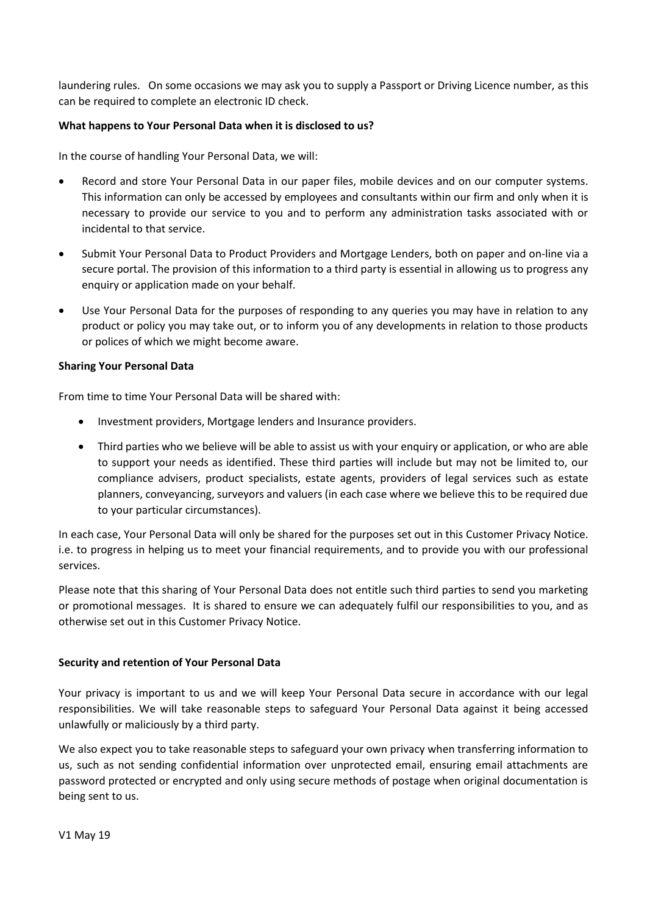laundering rules. On some occasions we may ask you to supply a Passport or Driving Licence number, as this can be required to complete an electronic ID check.

## **What happens to Your Personal Data when it is disclosed to us?**

In the course of handling Your Personal Data, we will:

- Record and store Your Personal Data in our paper files, mobile devices and on our computer systems. This information can only be accessed by employees and consultants within our firm and only when it is necessary to provide our service to you and to perform any administration tasks associated with or incidental to that service.
- Submit Your Personal Data to Product Providers and Mortgage Lenders, both on paper and on-line via a secure portal. The provision of this information to a third party is essential in allowing us to progress any enquiry or application made on your behalf.
- Use Your Personal Data for the purposes of responding to any queries you may have in relation to any product or policy you may take out, or to inform you of any developments in relation to those products or polices of which we might become aware.

### **Sharing Your Personal Data**

From time to time Your Personal Data will be shared with:

- Investment providers, Mortgage lenders and Insurance providers.
- Third parties who we believe will be able to assist us with your enquiry or application, or who are able to support your needs as identified. These third parties will include but may not be limited to, our compliance advisers, product specialists, estate agents, providers of legal services such as estate planners, conveyancing, surveyors and valuers (in each case where we believe this to be required due to your particular circumstances).

In each case, Your Personal Data will only be shared for the purposes set out in this Customer Privacy Notice. i.e. to progress in helping us to meet your financial requirements, and to provide you with our professional services.

Please note that this sharing of Your Personal Data does not entitle such third parties to send you marketing or promotional messages. It is shared to ensure we can adequately fulfil our responsibilities to you, and as otherwise set out in this Customer Privacy Notice.

# **Security and retention of Your Personal Data**

Your privacy is important to us and we will keep Your Personal Data secure in accordance with our legal responsibilities. We will take reasonable steps to safeguard Your Personal Data against it being accessed unlawfully or maliciously by a third party.

We also expect you to take reasonable steps to safeguard your own privacy when transferring information to us, such as not sending confidential information over unprotected email, ensuring email attachments are password protected or encrypted and only using secure methods of postage when original documentation is being sent to us.